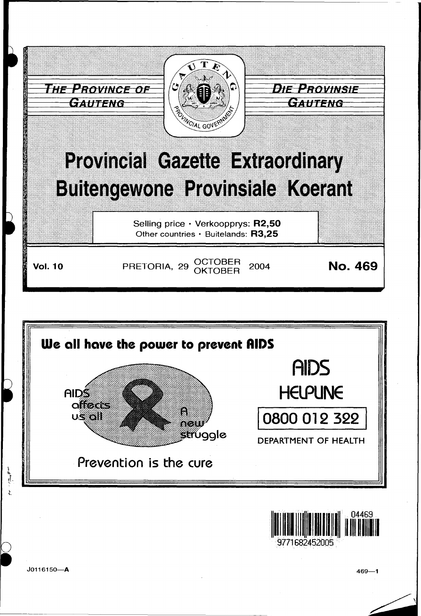





J0116150-A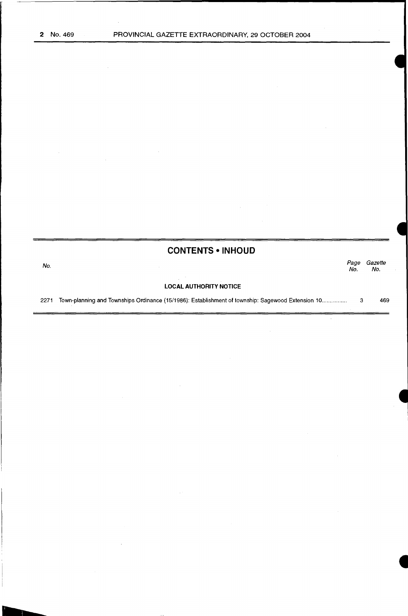# **CONTENTS •INHOUD**

No. Page Gazette No. No.

# **LOCAL AUTHORITY NOTICE**

2271 Town-planning and Townships Ordinance (15/1986): Establishment of township: Sagewood Extension 10 ............... . 3 469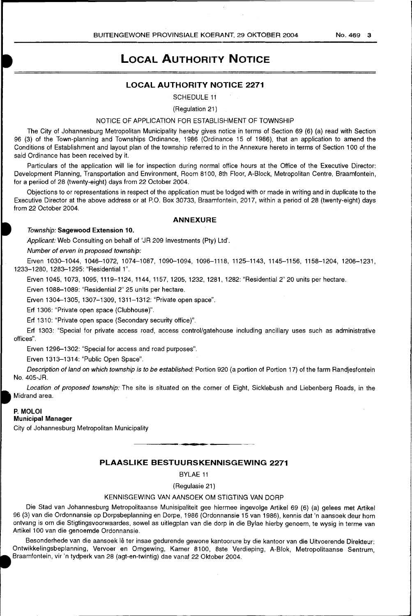# **LOCAL AUTHORITY NOTICE**

# **LOCAL AUTHORITY NOTICE 2271**

SCHEDULE 11

(Regulation 21)

# NOTICE OF APPLICATION FOR ESTABLISHMENT OF TOWNSHIP

The City of Johannesburg Metropolitan Municipality hereby gives notice in terms of Section 69 (6) (a) read with Section 96 (3) of the Town-planning and Townships Ordinance, 1986 (Ordinance 15 of 1986), that an application to amend the Conditions of Establishment and layout plan of the township referred to in the Annexure hereto in terms of Section 1 00 of the said Ordinance has been received by it.

Particulars of the application will lie for inspection during normal office hours at the Office of the Executive Director: Development Planning, Transportation and Environment, Room 8100, 8th Floor, A-Block, Metropolitan Centre, Braamfontein, for a periiod of 28 (twenty-eight) days from 22 October 2004.

Objections to or representations in respect of the application must be lodged with or made in writing and in duplicate to the Executive Director at the above address or at P.O. Box 30733, Braamfontein, 2017, within a period of 28 (twenty-eight) days from 22 October 2004.

# **ANNEXURE**

#### Township: **Sagewood Extension 10.**

Applicant: Web Consulting on behalf of 'JR 209 Investments (Pty) Ltd'.

Number of erven in proposed township:

Erven 1030-1044, 1046-1072, 1074-1087, 1090-1094, 1096-1118, 1125--1143, 1145-1156, 1158-1204, 1206-1231, 1233-1280, 1283-1295: "Residential 1".

Erven 1045, 1073, 1095, 1119-1124, 1144, 1157, 1205, 1232, 1281, 1282: "Residential 2" 20 units per hectare.

Erven 1088-1089: "Residential 2" 25 units per hectare.

Erven 1304-1305, 1307-1309, 1311-1312: "Private open space".

Erf 1306: "Private open space (Clubhouse)".

Erf 1310: "Private open space (Secondary security office)".

Erf 1303: "Special for private access road, access control/gatehouse including ancillary uses such as administrative offices".

Erven 1296-1302: "Special for access and road purposes".

Erven 1313--1314: "Public Open Space".

Description of land on which township is to be established: Portion 920 (a portion of Portion 17) of the farm Randjesfontein No. 405-JR.

Location of proposed township. The site is situated on the corner of Eight, Sicklebush and Liebenberg Roads, in the Midrand area.

#### **P. MOLOI**

### **Municipal Manager**

City of Johannesburg Metropolitan Municipality

# **PLAASLIKE BESTUURSKENNISGEWING 2271**

BYLAE 11

(Regulasie 21)

# KENNISGEWING VAN AANSOEK OM STIGTING VAN DORP

Die Stad van Johannesburg Metropolitaanse Munisipaliteit gee hiermee ingevolge Artikel 69 (6) (a) gelees met Artikel 96 (3) van die Ordonnansie op Dorpsbeplanning en Dorpe, 1986 (Ordonnansie 15 van 1986), kennis dat 'n aansoek deur hom ontvang is om die Stigtingsvoorwaardes, sowel as uitlegplan van die dorp in die Bylae hierby genoem, te wysig in terme van Artikel 100 van die genoemde Ordonnansie.

Besonderhede van die aansoek lê ter insae gedurende gewone kantoorure by die kantoor van die Uitvoerende Direkteur: Ontwikkelingsbeplanning, Vervoer en Omgewing, Kamer 8100, 8ste Verdieping, A-Biok, Metropolitaanse Sentrum, Braamfontein, vir 'n tydperk van 28 (agt-en-twintig) dae vanaf 22 Oktober 2004.